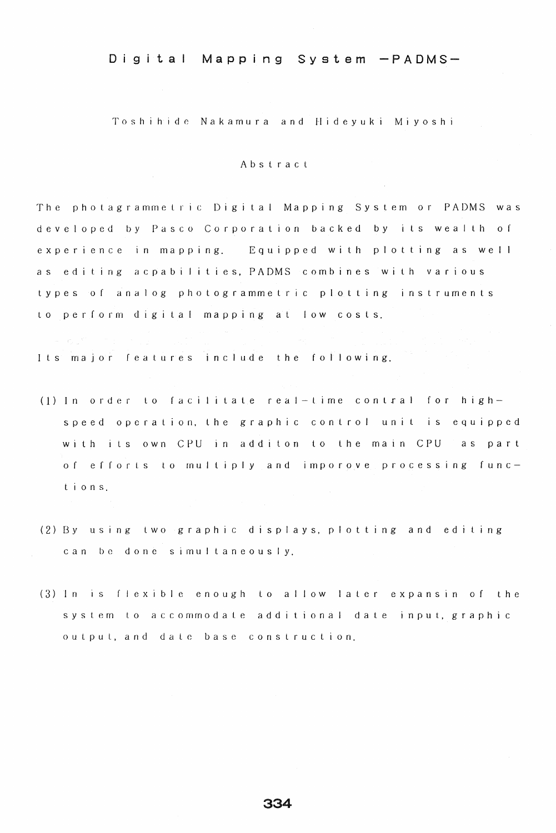Toshihide Nakamura and Hideyuki Miyoshi

#### Abstract

The photagrammetric Digital Mapping System or PADMS was developed by Pasco Corporation backed by its wealth o experience in mapping. Equipped with plotting as well as editing acpabilities, PADMS combines with various types of analog photogrammetric plotting instruments to perform digital mapping at low costs.

Its major features include the following.

- (1) In order to facilitate real-time contral for highspeed operation, the graphic control unit is equipped with its own CPU in additon to the main CPU as part of efforts to multiply and imporove processing funcion s.
- $(2)$  By using two graphic displays, plotting and editing can be done simultaneously.
- (3) In is flexible enough to allow later expansin of the system to accommodate additional date input, graphic output, and date base construction.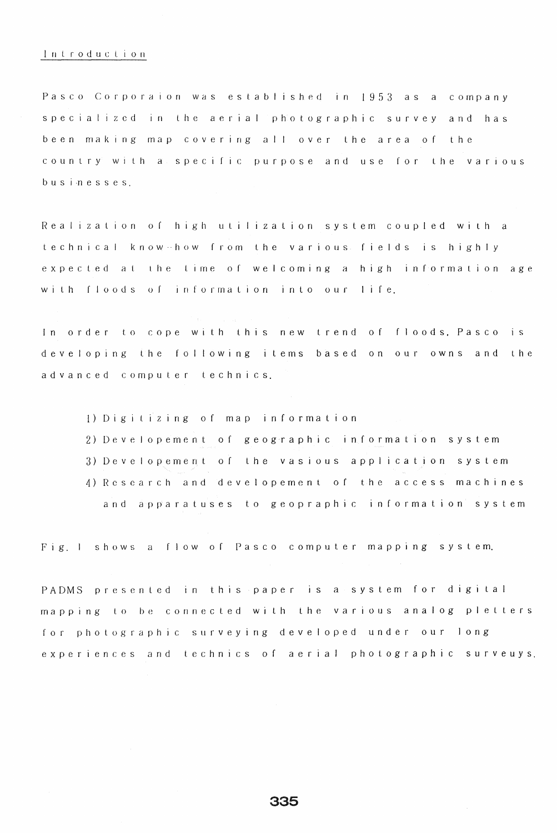### Introduclion

Pasco Corporaion was established in 1953 as a company specialized in the aerial photographic survey and has been making map cover ng allover lhe area of the country with a specific purpose and use for the various bus in e sse s.

Realization of high utilization system coupled with a te c h n i c a l know how from the various fields is highly expected at the time of welcoming a high information age with floods of information into our life.

In order to cope with this new trend of floods, Pasco is developing the following items based on our owns and the a d vanced computer technics.

1) Digitizing of map information 2) Developement of geographic information system 3) Developement of the vasious application system 4) Research and developement of the access machines and apparatuses to geopraphic Information system

Fig. I shows a flow of Pasco computer mapping system.

PADMS presented in this paper is a system for digital mapping to be connected with the various analog pletters for photographic surveying developed under our long experiences and technics of aerial photographic surveuys.

335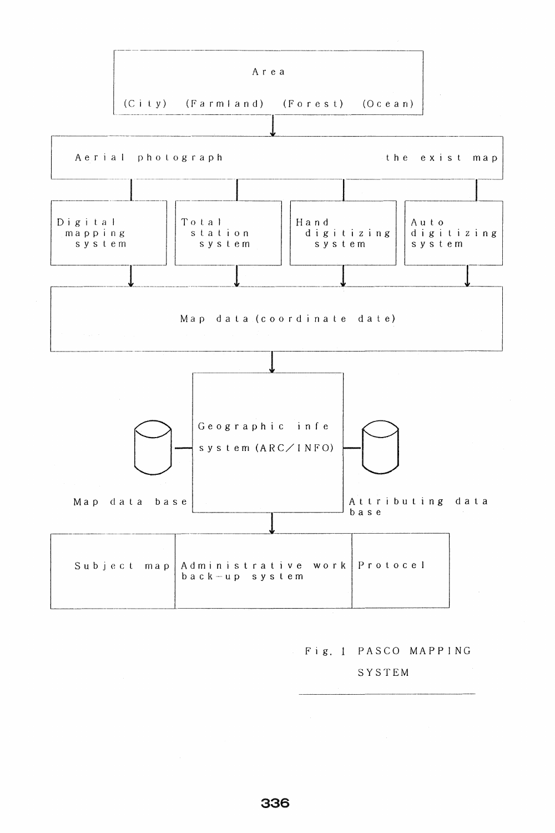

# Fig. 1 PASCO MAPPING

SYSTEM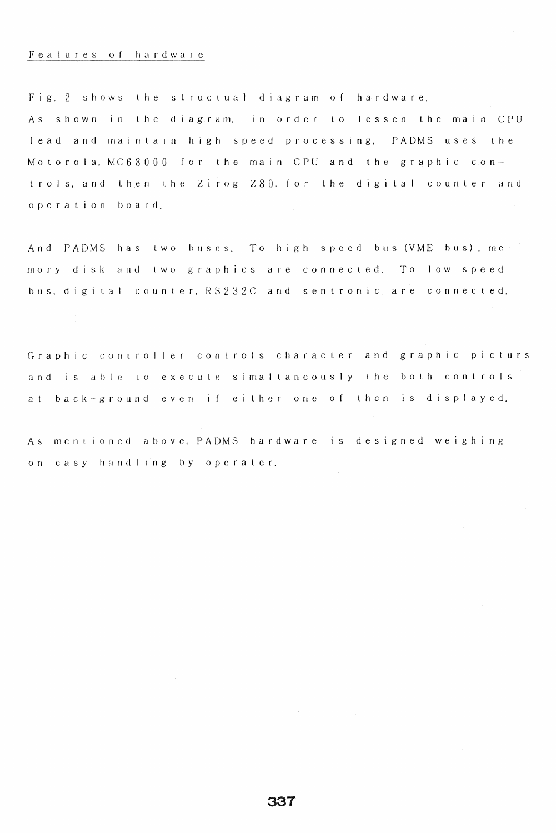## Fealures or hardware

Fig. 2 shows the structual diagram of hardware. As shown in the diagram, in order to lessen the main CPU lead and maintain high speed processing, PADMS uses the Motorola,  $MCG 8000$  for the main CPU and the graphic controls, and then the Zirog Z80, for the digital counter and operation board.

And PADMS has two buses. To high speed bus (VME bus),  $me$ mory disk and two graphics are connected. To low speed bus, digital counter, RS232C and sentronic are connected.

Graphic controller controls character and graphic picturs and is able to execute simaltaneously the both controls at back-ground even if either one of then is displayed.

As mentioned above, PADMS hardware is designed weighing on easy handling by operater.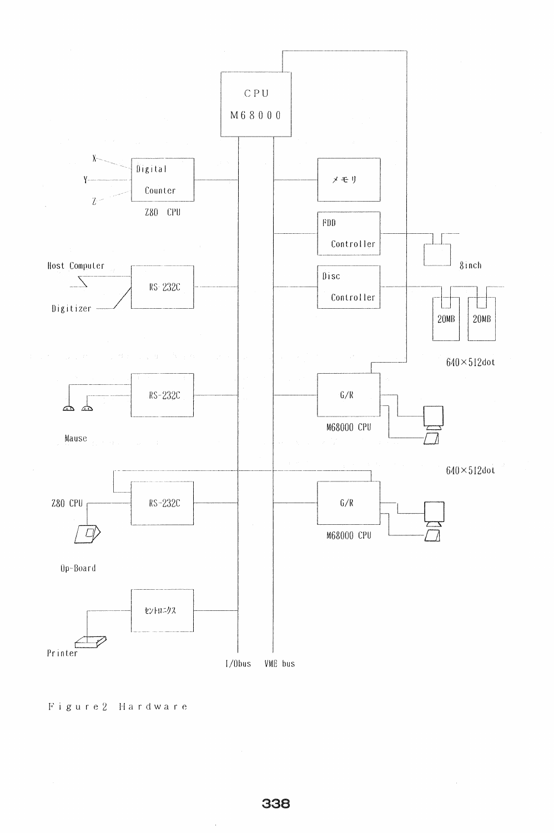

Figure2 Hardware

 $\hat{\boldsymbol{\cdot}$ 

 $\bar{z}$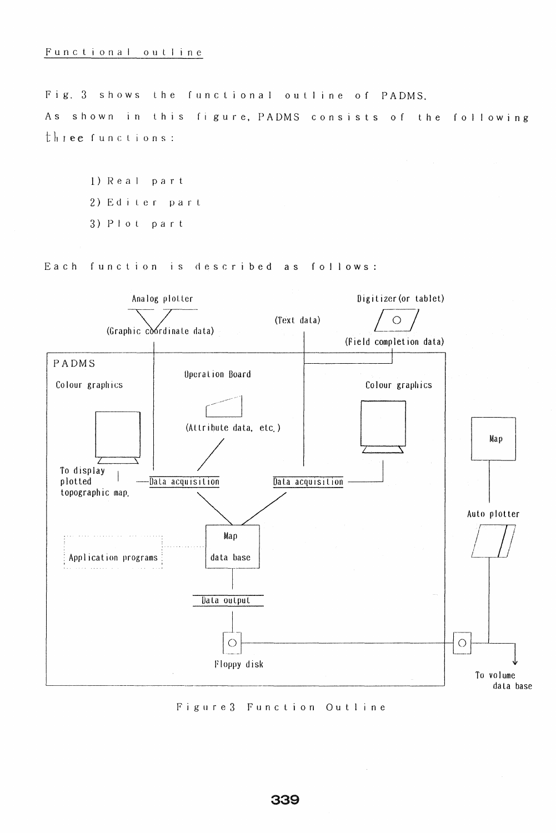Fig. 3 shows the functional outline of PADMS. As shown in this figure, PADMS consists of the following three functions:

l) Real part 2)Edi er par 3) Plot part

Each function is described as follows:



Figure 3 Function Outline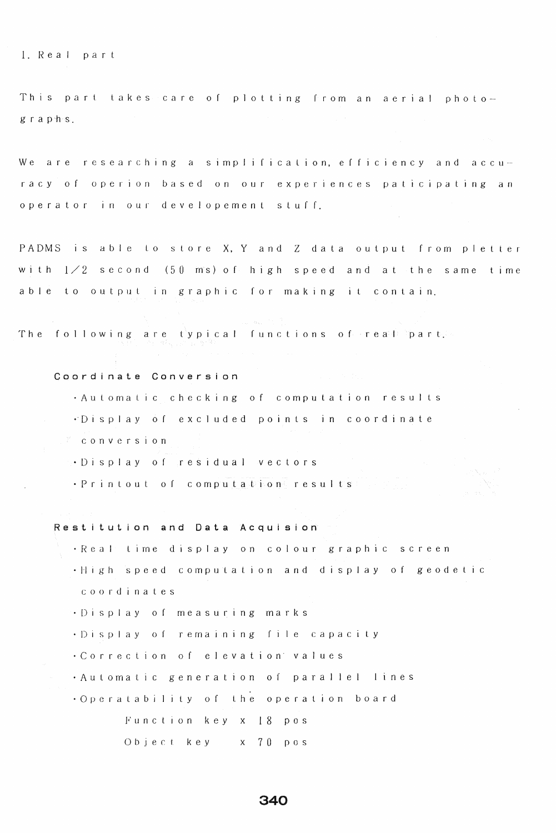1. Real part

This part takes care of plotting from an aerial photographs.

We are researching a simplification, efficiency and accuracy of operion based on our experiences paticipating an operator in our developement stuff.

PADMS is able to store X, Y and Z data output from pletter with  $1 \times 2$  second (50 ms) of high speed and at the same time able to output in graphic for making it contain.

The following are typical functions of real part.

## Coordinate Conversion

. Automatic checking of computation results

- ·Display of excluded points in coordinate
- <sup>F</sup> conversion
- . Display of residual vectors
- . Printout of computation results

Restitution and Data Acquision

- · Real time display on colour graphic screen
- .High speed computation and display of geodetic coordinates
- · Display of measuring marks
- ·Display of remaining file capacity
- . Correction of elevation values
- · Automatic generation of parallel lines
- . Operatability of the operation board

Function key x 18 pos

Object key x 70 pos

## 340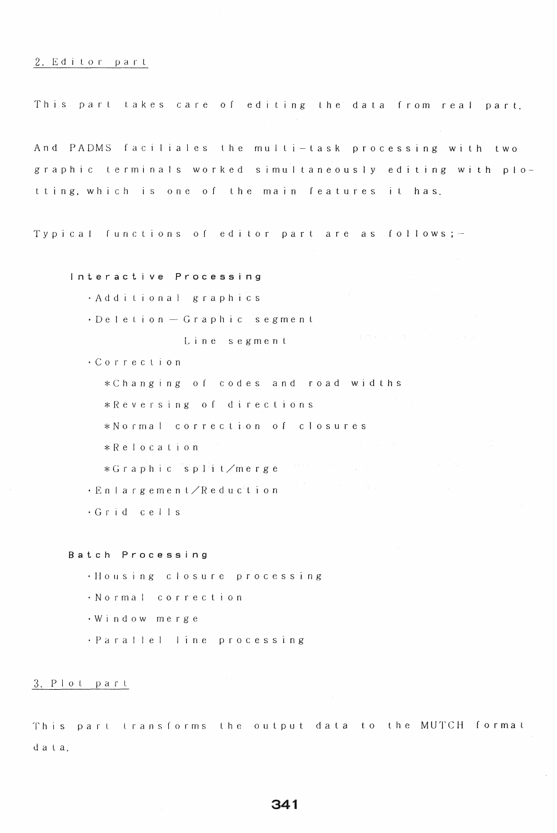## 2. Editor part

This part takes care of editing the data from real part.

And PADMS faciliales the multi-task processing with two graphic terminals worked simultaneously editing with plotting, which is one of the main features it has.

Typical functions of editor part are as follows;-

## Interactive Processing

- · Additional graphics
- $\cdot$  Deletion Graphic segment

Line segment

· Correction

\*Changing of codes and road widths

\*Reversing of directions

\*Normal correction of closures

 $*Re$  location

\*Graphic split/merge

 $\cdot$  Enlargement/Reduction

 $\cdot$  Grid cells

Batch Processing

· Housing closure processing

· Normal correction

 $\cdot$  W indow merge

· Parallel line processing

#### 3. Plot part

This part transforms the output data to the MUTCH format data.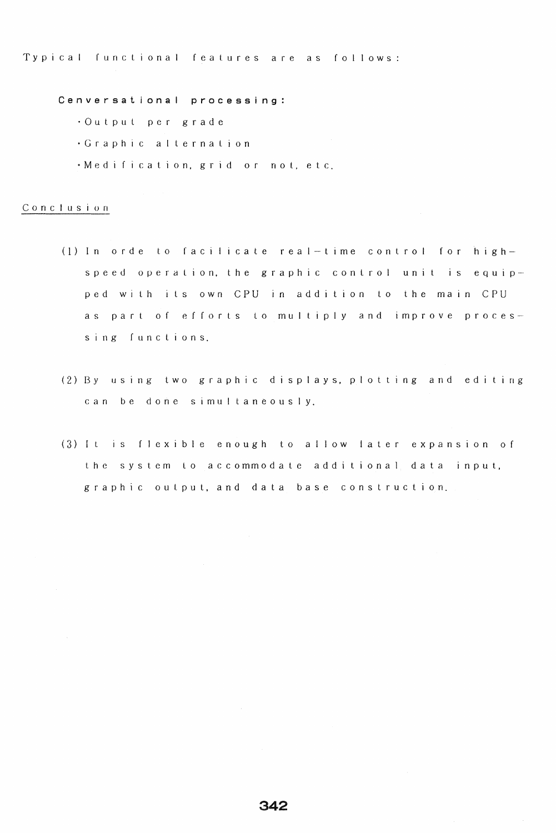Typical functional features are as follows:

Cenversational processing:

- ·Outpu per g r ad e
- $\cdot$  Graphic alternation
- . Medification, grid or not, etc.

## Conclusion

- (1) In orde to facilicate real-time control for highspeed operation, the graphic control unit is equipped with its own CPU in addition to the main CPU as part of efforts to multiply and improve processing functions.
- $(2)$  By using two graphic displays, plotting and editing can be done simultaneously.
- (3) It is flexible enough to allow later expansion of the system to accommodate additional data input, graphic outpul, and data base construction.